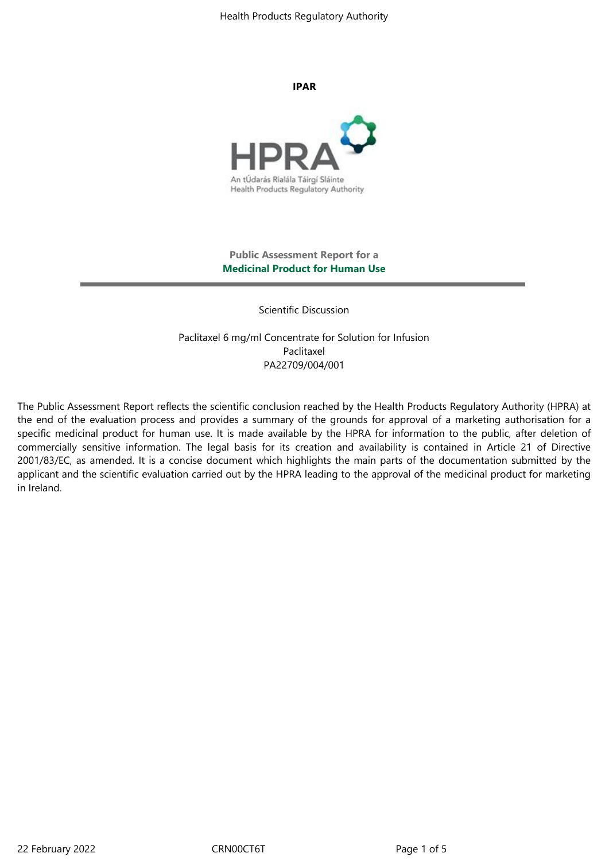Health Products Regulatory Authority

**IPAR**



# **Public Assessment Report for a Medicinal Product for Human Use**

Scientific Discussion

Paclitaxel 6 mg/ml Concentrate for Solution for Infusion Paclitaxel PA22709/004/001

The Public Assessment Report reflects the scientific conclusion reached by the Health Products Regulatory Authority (HPRA) at the end of the evaluation process and provides a summary of the grounds for approval of a marketing authorisation for a specific medicinal product for human use. It is made available by the HPRA for information to the public, after deletion of commercially sensitive information. The legal basis for its creation and availability is contained in Article 21 of Directive 2001/83/EC, as amended. It is a concise document which highlights the main parts of the documentation submitted by the applicant and the scientific evaluation carried out by the HPRA leading to the approval of the medicinal product for marketing in Ireland.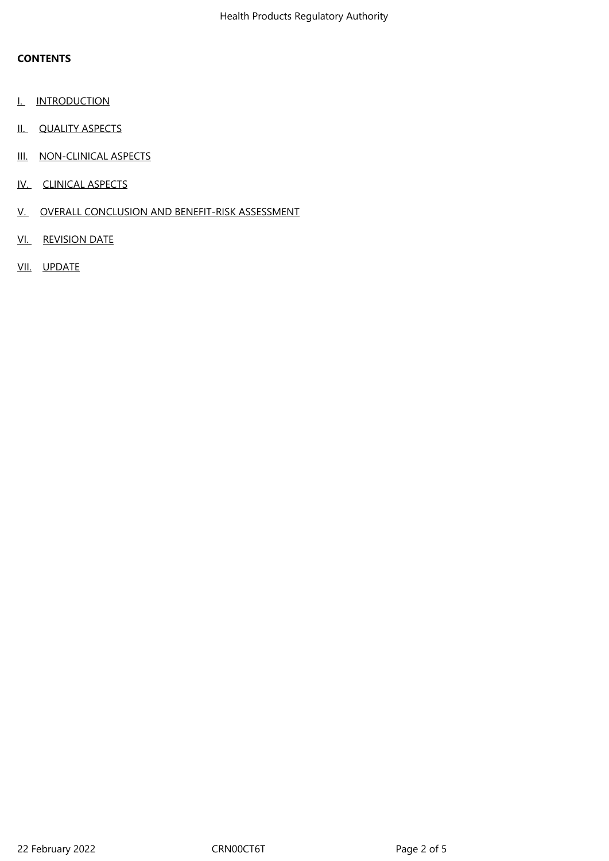# **CONTENTS**

- I. INTRODUCTION
- II. QUALITY ASPECTS
- III. NON-CLINICAL ASPECTS
- IV. CLINICAL ASPECTS
- V. OVERALL CONCLUSION AND BENEFIT-RISK ASSESSMENT
- VI. REVISION DATE
- VII. UPDATE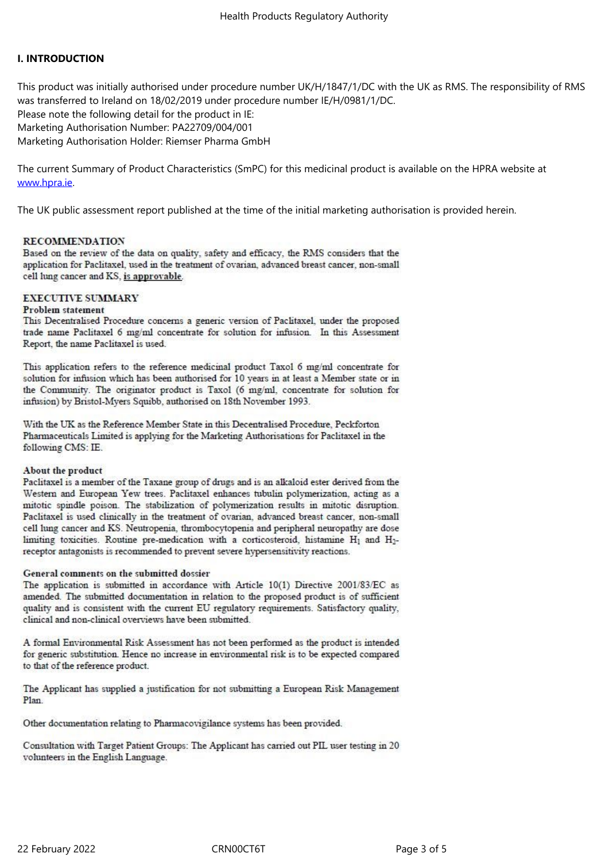# **I. INTRODUCTION**

This product was initially authorised under procedure number UK/H/1847/1/DC with the UK as RMS. The responsibility of RMS was transferred to Ireland on 18/02/2019 under procedure number IE/H/0981/1/DC. Please note the following detail for the product in IE: Marketing Authorisation Number: PA22709/004/001 Marketing Authorisation Holder: Riemser Pharma GmbH

The current Summary of Product Characteristics (SmPC) for this medicinal product is available on the HPRA website at www.hpra.ie.

The UK public assessment report published at the time of the initial marketing authorisation is provided herein.

### **RECOMMENDATION**

Based on the review of the data on quality, safety and efficacy, the RMS considers that the application for Paclitaxel, used in the treatment of ovarian, advanced breast cancer, non-small cell lung cancer and KS, is approvable.

# **EXECUTIVE SUMMARY**

### Problem statement

This Decentralised Procedure concerns a generic version of Paclitaxel, under the proposed trade name Paclitaxel 6 mg/ml concentrate for solution for infusion. In this Assessment Report, the name Paclitaxel is used.

This application refers to the reference medicinal product Taxol 6 mg/ml concentrate for solution for infusion which has been authorised for 10 years in at least a Member state or in the Community. The originator product is Taxol (6 mg/ml, concentrate for solution for infusion) by Bristol-Myers Squibb, authorised on 18th November 1993.

With the UK as the Reference Member State in this Decentralised Procedure, Peckforton Pharmaceuticals Limited is applying for the Marketing Authorisations for Paclitaxel in the following CMS: IE.

# About the product

Paclitaxel is a member of the Taxane group of drugs and is an alkaloid ester derived from the Western and European Yew trees. Paclitaxel enhances tubulin polymerization, acting as a mitotic spindle poison. The stabilization of polymerization results in mitotic disruption. Paclitaxel is used clinically in the treatment of ovarian, advanced breast cancer, non-small cell lung cancer and KS. Neutropenia, thrombocytopenia and peripheral neuropathy are dose limiting toxicities. Routine pre-medication with a corticosteroid, histamine H<sub>1</sub> and H<sub>2</sub>receptor antagonists is recommended to prevent severe hypersensitivity reactions.

### General comments on the submitted dossier

The application is submitted in accordance with Article 10(1) Directive 2001/83/EC as amended. The submitted documentation in relation to the proposed product is of sufficient quality and is consistent with the current EU regulatory requirements. Satisfactory quality, clinical and non-clinical overviews have been submitted.

A formal Environmental Risk Assessment has not been performed as the product is intended for generic substitution. Hence no increase in environmental risk is to be expected compared to that of the reference product.

The Applicant has supplied a justification for not submitting a European Risk Management Plan.

Other documentation relating to Pharmacovigilance systems has been provided.

Consultation with Target Patient Groups: The Applicant has carried out PIL user testing in 20 volunteers in the English Language.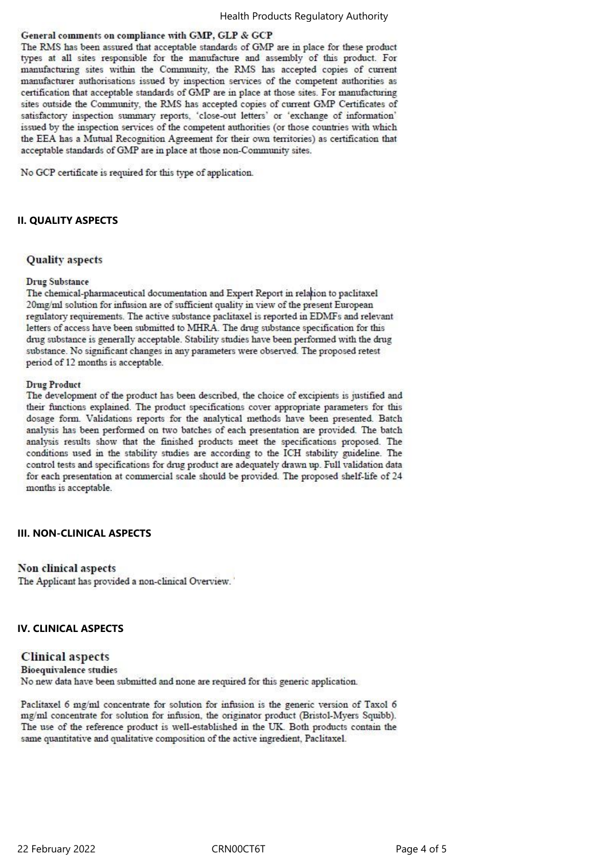### General comments on compliance with GMP, GLP & GCP

The RMS has been assured that acceptable standards of GMP are in place for these product types at all sites responsible for the manufacture and assembly of this product. For manufacturing sites within the Community, the RMS has accepted copies of current manufacturer authorisations issued by inspection services of the competent authorities as certification that acceptable standards of GMP are in place at those sites. For manufacturing sites outside the Community, the RMS has accepted copies of current GMP Certificates of satisfactory inspection summary reports, 'close-out letters' or 'exchange of information' issued by the inspection services of the competent authorities (or those countries with which the EEA has a Mutual Recognition Agreement for their own territories) as certification that acceptable standards of GMP are in place at those non-Community sites.

No GCP certificate is required for this type of application.

### **II. QUALITY ASPECTS**

### **Quality** aspects

### **Drug Substance**

The chemical-pharmaceutical documentation and Expert Report in relation to paclitaxel 20mg/ml solution for infusion are of sufficient quality in view of the present European regulatory requirements. The active substance paclitaxel is reported in EDMFs and relevant letters of access have been submitted to MHRA. The drug substance specification for this drug substance is generally acceptable. Stability studies have been performed with the drug substance. No significant changes in any parameters were observed. The proposed retest period of 12 months is acceptable.

### **Drug Product**

The development of the product has been described, the choice of excipients is justified and their functions explained. The product specifications cover appropriate parameters for this dosage form. Validations reports for the analytical methods have been presented. Batch analysis has been performed on two batches of each presentation are provided. The batch analysis results show that the finished products meet the specifications proposed. The conditions used in the stability studies are according to the ICH stability guideline. The control tests and specifications for drug product are adequately drawn up. Full validation data for each presentation at commercial scale should be provided. The proposed shelf-life of 24 months is acceptable.

### **III. NON-CLINICAL ASPECTS**

# Non clinical aspects

The Applicant has provided a non-clinical Overview.'

### **IV. CLINICAL ASPECTS**

# **Clinical aspects**

**Bioequivalence studies** No new data have been submitted and none are required for this generic application.

Paclitaxel 6 mg/ml concentrate for solution for infusion is the generic version of Taxol 6 mg/ml concentrate for solution for infusion, the originator product (Bristol-Myers Squibb). The use of the reference product is well-established in the UK. Both products contain the same quantitative and qualitative composition of the active ingredient, Paclitaxel.